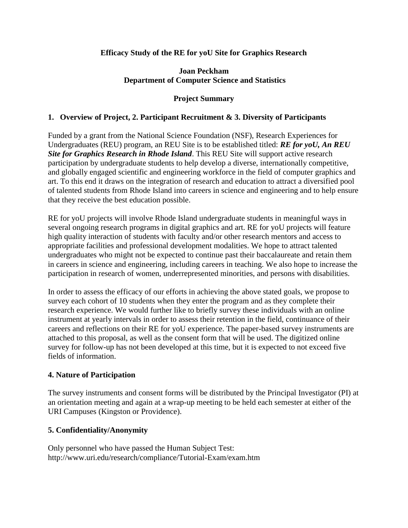## **Efficacy Study of the RE for yoU Site for Graphics Research**

### **Joan Peckham Department of Computer Science and Statistics**

### **Project Summary**

### **1. Overview of Project, 2. Participant Recruitment & 3. Diversity of Participants**

Funded by a grant from the National Science Foundation (NSF), Research Experiences for Undergraduates (REU) program, an REU Site is to be established titled: *RE for yoU, An REU Site for Graphics Research in Rhode Island*. This REU Site will support active research participation by undergraduate students to help develop a diverse, internationally competitive, and globally engaged scientific and engineering workforce in the field of computer graphics and art. To this end it draws on the integration of research and education to attract a diversified pool of talented students from Rhode Island into careers in science and engineering and to help ensure that they receive the best education possible.

RE for yoU projects will involve Rhode Island undergraduate students in meaningful ways in several ongoing research programs in digital graphics and art. RE for yoU projects will feature high quality interaction of students with faculty and/or other research mentors and access to appropriate facilities and professional development modalities. We hope to attract talented undergraduates who might not be expected to continue past their baccalaureate and retain them in careers in science and engineering, including careers in teaching. We also hope to increase the participation in research of women, underrepresented minorities, and persons with disabilities.

In order to assess the efficacy of our efforts in achieving the above stated goals, we propose to survey each cohort of 10 students when they enter the program and as they complete their research experience. We would further like to briefly survey these individuals with an online instrument at yearly intervals in order to assess their retention in the field, continuance of their careers and reflections on their RE for yoU experience. The paper-based survey instruments are attached to this proposal, as well as the consent form that will be used. The digitized online survey for follow-up has not been developed at this time, but it is expected to not exceed five fields of information.

#### **4. Nature of Participation**

The survey instruments and consent forms will be distributed by the Principal Investigator (PI) at an orientation meeting and again at a wrap-up meeting to be held each semester at either of the URI Campuses (Kingston or Providence).

## **5. Confidentiality/Anonymity**

Only personnel who have passed the Human Subject Test: http://www.uri.edu/research/compliance/Tutorial-Exam/exam.htm